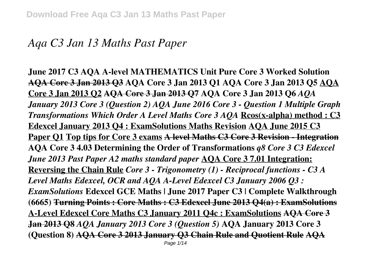# *Aqa C3 Jan 13 Maths Past Paper*

**June 2017 C3 AQA A-level MATHEMATICS Unit Pure Core 3 Worked Solution AQA Core 3 Jan 2013 Q3 AQA Core 3 Jan 2013 Q1 AQA Core 3 Jan 2013 Q5 AQA Core 3 Jan 2013 Q2 AQA Core 3 Jan 2013 Q7 AQA Core 3 Jan 2013 Q6** *AQA January 2013 Core 3 (Question 2) AQA June 2016 Core 3 - Question 1 Multiple Graph Transformations Which Order A Level Maths Core 3 AQA* **Rcos(x-alpha) method : C3 Edexcel January 2013 Q4 : ExamSolutions Maths Revision AQA June 2015 C3 Paper Q1 Top tips for Core 3 exams A level Maths C3 Core 3 Revision - Integration AQA Core 3 4.03 Determining the Order of Transformations** *q8 Core 3 C3 Edexcel June 2013 Past Paper A2 maths standard paper* **AQA Core 3 7.01 Integration: Reversing the Chain Rule** *Core 3 - Trigonometry (1) - Reciprocal functions - C3 A Level Maths Edexcel, OCR and AQA A-Level Edexcel C3 January 2006 Q3 : ExamSolutions* **Edexcel GCE Maths | June 2017 Paper C3 | Complete Walkthrough (6665) Turning Points : Core Maths : C3 Edexcel June 2013 Q4(a) : ExamSolutions A-Level Edexcel Core Maths C3 January 2011 Q4c : ExamSolutions AQA Core 3 Jan 2013 Q8** *AQA January 2013 Core 3 (Question 5)* **AQA January 2013 Core 3 (Question 8) AQA Core 3 2013 January Q3 Chain Rule and Quotient Rule AQA** Page 1/14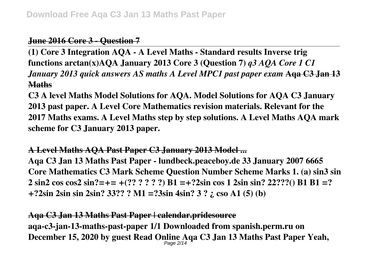## **June 2016 Core 3 - Question 7**

**(1) Core 3 Integration AQA - A Level Maths - Standard results Inverse trig functions arctan(x)AQA January 2013 Core 3 (Question 7)** *q3 AQA Core 1 C1 January 2013 quick answers AS maths A Level MPC1 past paper exam* **Aqa C3 Jan 13 Maths**

**C3 A level Maths Model Solutions for AQA. Model Solutions for AQA C3 January 2013 past paper. A Level Core Mathematics revision materials. Relevant for the 2017 Maths exams. A Level Maths step by step solutions. A Level Maths AQA mark scheme for C3 January 2013 paper.**

**A Level Maths AQA Past Paper C3 January 2013 Model ... Aqa C3 Jan 13 Maths Past Paper - lundbeck.peaceboy.de 33 January 2007 6665 Core Mathematics C3 Mark Scheme Question Number Scheme Marks 1. (a) sin3 sin 2 sin2 cos cos2 sin?=+= +(?? ? ? ? ?) B1 =+?2sin cos 1 2sin sin? 22???() B1 B1 =? +?2sin 2sin sin 2sin? 33?? ? M1 =?3sin 4sin? 3 ? ¿ cso A1 (5) (b)**

## **Aqa C3 Jan 13 Maths Past Paper | calendar.pridesource aqa-c3-jan-13-maths-past-paper 1/1 Downloaded from spanish.perm.ru on December 15, 2020 by guest Read Online Aqa C3 Jan 13 Maths Past Paper Yeah,** Page 2/14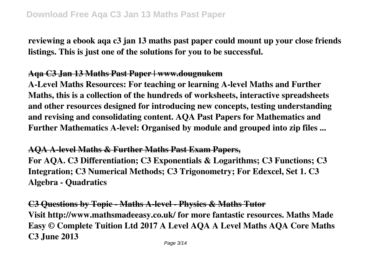**reviewing a ebook aqa c3 jan 13 maths past paper could mount up your close friends listings. This is just one of the solutions for you to be successful.**

## **Aqa C3 Jan 13 Maths Past Paper | www.dougnukem**

**A-Level Maths Resources: For teaching or learning A-level Maths and Further Maths, this is a collection of the hundreds of worksheets, interactive spreadsheets and other resources designed for introducing new concepts, testing understanding and revising and consolidating content. AQA Past Papers for Mathematics and Further Mathematics A-level: Organised by module and grouped into zip files ...**

## **AQA A-level Maths & Further Maths Past Exam Papers,**

**For AQA. C3 Differentiation; C3 Exponentials & Logarithms; C3 Functions; C3 Integration; C3 Numerical Methods; C3 Trigonometry; For Edexcel, Set 1. C3 Algebra - Quadratics**

**C3 Questions by Topic - Maths A-level - Physics & Maths Tutor Visit http://www.mathsmadeeasy.co.uk/ for more fantastic resources. Maths Made Easy © Complete Tuition Ltd 2017 A Level AQA A Level Maths AQA Core Maths C3 June 2013**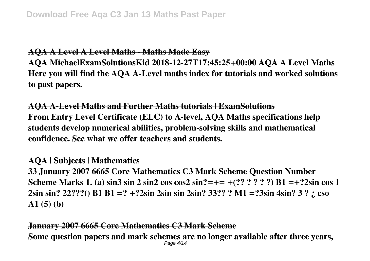## **AQA A Level A Level Maths - Maths Made Easy**

**AQA MichaelExamSolutionsKid 2018-12-27T17:45:25+00:00 AQA A Level Maths Here you will find the AQA A-Level maths index for tutorials and worked solutions to past papers.**

**AQA A-Level Maths and Further Maths tutorials | ExamSolutions From Entry Level Certificate (ELC) to A-level, AQA Maths specifications help students develop numerical abilities, problem-solving skills and mathematical confidence. See what we offer teachers and students.**

### **AQA | Subjects | Mathematics**

**33 January 2007 6665 Core Mathematics C3 Mark Scheme Question Number Scheme Marks 1. (a) sin3 sin 2 sin2 cos cos2 sin?=+= +(?? ? ? ? ?) B1 =+?2sin cos 1 2sin sin? 22???() B1 B1 =? +?2sin 2sin sin 2sin? 33?? ? M1 =?3sin 4sin? 3 ? ¿ cso A1 (5) (b)**

#### **January 2007 6665 Core Mathematics C3 Mark Scheme Some question papers and mark schemes are no longer available after three years,** Page 4/14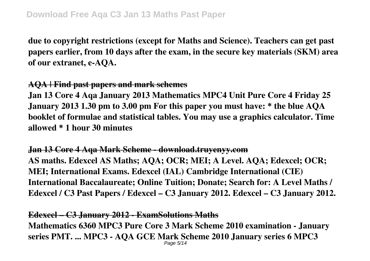**due to copyright restrictions (except for Maths and Science). Teachers can get past papers earlier, from 10 days after the exam, in the secure key materials (SKM) area of our extranet, e-AQA.**

## **AQA | Find past papers and mark schemes**

**Jan 13 Core 4 Aqa January 2013 Mathematics MPC4 Unit Pure Core 4 Friday 25 January 2013 1.30 pm to 3.00 pm For this paper you must have: \* the blue AQA booklet of formulae and statistical tables. You may use a graphics calculator. Time allowed \* 1 hour 30 minutes**

**Jan 13 Core 4 Aqa Mark Scheme - download.truyenyy.com AS maths. Edexcel AS Maths; AQA; OCR; MEI; A Level. AQA; Edexcel; OCR; MEI; International Exams. Edexcel (IAL) Cambridge International (CIE) International Baccalaureate; Online Tuition; Donate; Search for: A Level Maths / Edexcel / C3 Past Papers / Edexcel – C3 January 2012. Edexcel – C3 January 2012.**

### **Edexcel – C3 January 2012 - ExamSolutions Maths**

**Mathematics 6360 MPC3 Pure Core 3 Mark Scheme 2010 examination - January series PMT. ... MPC3 - AQA GCE Mark Scheme 2010 January series 6 MPC3** Page 5/14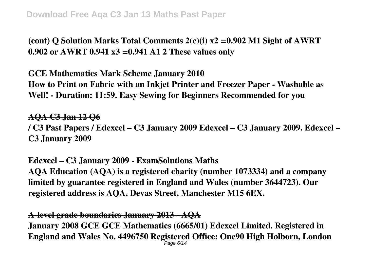**(cont) Q Solution Marks Total Comments 2(c)(i) x2 =0.902 M1 Sight of AWRT 0.902 or AWRT 0.941 x3 =0.941 A1 2 These values only**

### **GCE Mathematics Mark Scheme January 2010**

**How to Print on Fabric with an Inkjet Printer and Freezer Paper - Washable as Well! - Duration: 11:59. Easy Sewing for Beginners Recommended for you**

### **AQA C3 Jan 12 Q6**

**/ C3 Past Papers / Edexcel – C3 January 2009 Edexcel – C3 January 2009. Edexcel – C3 January 2009**

#### **Edexcel – C3 January 2009 - ExamSolutions Maths**

**AQA Education (AQA) is a registered charity (number 1073334) and a company limited by guarantee registered in England and Wales (number 3644723). Our registered address is AQA, Devas Street, Manchester M15 6EX.**

### **A-level grade boundaries January 2013 - AQA**

**January 2008 GCE GCE Mathematics (6665/01) Edexcel Limited. Registered in England and Wales No. 4496750 Registered Office: One90 High Holborn, London** Page 6/14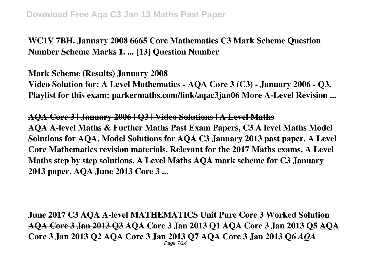**WC1V 7BH. January 2008 6665 Core Mathematics C3 Mark Scheme Question Number Scheme Marks 1. ... [13] Question Number**

**Mark Scheme (Results) January 2008**

**Video Solution for: A Level Mathematics - AQA Core 3 (C3) - January 2006 - Q3. Playlist for this exam: parkermaths.com/link/aqac3jan06 More A-Level Revision ...**

**AQA Core 3 | January 2006 | Q3 | Video Solutions | A Level Maths AQA A-level Maths & Further Maths Past Exam Papers, C3 A level Maths Model Solutions for AQA. Model Solutions for AQA C3 January 2013 past paper. A Level Core Mathematics revision materials. Relevant for the 2017 Maths exams. A Level Maths step by step solutions. A Level Maths AQA mark scheme for C3 January 2013 paper. AQA June 2013 Core 3 ...**

**June 2017 C3 AQA A-level MATHEMATICS Unit Pure Core 3 Worked Solution AQA Core 3 Jan 2013 Q3 AQA Core 3 Jan 2013 Q1 AQA Core 3 Jan 2013 Q5 AQA Core 3 Jan 2013 Q2 AQA Core 3 Jan 2013 Q7 AQA Core 3 Jan 2013 Q6** *AQA* Page 7/14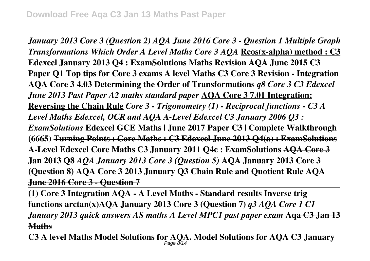*January 2013 Core 3 (Question 2) AQA June 2016 Core 3 - Question 1 Multiple Graph Transformations Which Order A Level Maths Core 3 AQA* **Rcos(x-alpha) method : C3 Edexcel January 2013 Q4 : ExamSolutions Maths Revision AQA June 2015 C3 Paper Q1 Top tips for Core 3 exams A level Maths C3 Core 3 Revision - Integration AQA Core 3 4.03 Determining the Order of Transformations** *q8 Core 3 C3 Edexcel June 2013 Past Paper A2 maths standard paper* **AQA Core 3 7.01 Integration: Reversing the Chain Rule** *Core 3 - Trigonometry (1) - Reciprocal functions - C3 A Level Maths Edexcel, OCR and AQA A-Level Edexcel C3 January 2006 Q3 : ExamSolutions* **Edexcel GCE Maths | June 2017 Paper C3 | Complete Walkthrough (6665) Turning Points : Core Maths : C3 Edexcel June 2013 Q4(a) : ExamSolutions A-Level Edexcel Core Maths C3 January 2011 Q4c : ExamSolutions AQA Core 3 Jan 2013 Q8** *AQA January 2013 Core 3 (Question 5)* **AQA January 2013 Core 3 (Question 8) AQA Core 3 2013 January Q3 Chain Rule and Quotient Rule AQA June 2016 Core 3 - Question 7**

**(1) Core 3 Integration AQA - A Level Maths - Standard results Inverse trig functions arctan(x)AQA January 2013 Core 3 (Question 7)** *q3 AQA Core 1 C1 January 2013 quick answers AS maths A Level MPC1 past paper exam* **Aqa C3 Jan 13 Maths**

**C3 A level Maths Model Solutions for AQA. Model Solutions for AQA C3 January** Page 8/14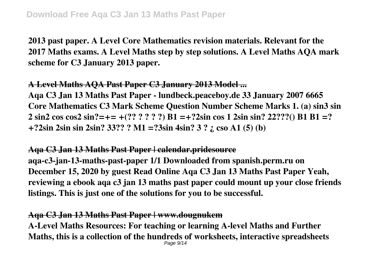**2013 past paper. A Level Core Mathematics revision materials. Relevant for the 2017 Maths exams. A Level Maths step by step solutions. A Level Maths AQA mark scheme for C3 January 2013 paper.**

## **A Level Maths AQA Past Paper C3 January 2013 Model ...**

**Aqa C3 Jan 13 Maths Past Paper - lundbeck.peaceboy.de 33 January 2007 6665 Core Mathematics C3 Mark Scheme Question Number Scheme Marks 1. (a) sin3 sin 2 sin2 cos cos2 sin?=+= +(?? ? ? ? ?) B1 =+?2sin cos 1 2sin sin? 22???() B1 B1 =? +?2sin 2sin sin 2sin? 33?? ? M1 =?3sin 4sin? 3 ? ¿ cso A1 (5) (b)**

## **Aqa C3 Jan 13 Maths Past Paper | calendar.pridesource**

**aqa-c3-jan-13-maths-past-paper 1/1 Downloaded from spanish.perm.ru on December 15, 2020 by guest Read Online Aqa C3 Jan 13 Maths Past Paper Yeah, reviewing a ebook aqa c3 jan 13 maths past paper could mount up your close friends listings. This is just one of the solutions for you to be successful.**

## **Aqa C3 Jan 13 Maths Past Paper | www.dougnukem**

**A-Level Maths Resources: For teaching or learning A-level Maths and Further Maths, this is a collection of the hundreds of worksheets, interactive spreadsheets** Page 9/14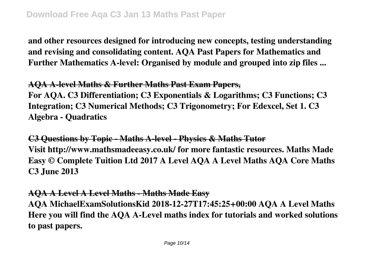**and other resources designed for introducing new concepts, testing understanding and revising and consolidating content. AQA Past Papers for Mathematics and Further Mathematics A-level: Organised by module and grouped into zip files ...**

### **AQA A-level Maths & Further Maths Past Exam Papers,**

**For AQA. C3 Differentiation; C3 Exponentials & Logarithms; C3 Functions; C3 Integration; C3 Numerical Methods; C3 Trigonometry; For Edexcel, Set 1. C3 Algebra - Quadratics**

**C3 Questions by Topic - Maths A-level - Physics & Maths Tutor Visit http://www.mathsmadeeasy.co.uk/ for more fantastic resources. Maths Made Easy © Complete Tuition Ltd 2017 A Level AQA A Level Maths AQA Core Maths C3 June 2013**

### **AQA A Level A Level Maths - Maths Made Easy**

**AQA MichaelExamSolutionsKid 2018-12-27T17:45:25+00:00 AQA A Level Maths Here you will find the AQA A-Level maths index for tutorials and worked solutions to past papers.**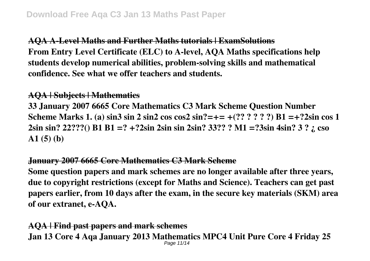**AQA A-Level Maths and Further Maths tutorials | ExamSolutions From Entry Level Certificate (ELC) to A-level, AQA Maths specifications help students develop numerical abilities, problem-solving skills and mathematical confidence. See what we offer teachers and students.**

## **AQA | Subjects | Mathematics**

**33 January 2007 6665 Core Mathematics C3 Mark Scheme Question Number Scheme Marks 1. (a) sin3 sin 2 sin2 cos cos2 sin?=+= +(?? ? ? ? ?) B1 =+?2sin cos 1 2sin sin? 22???() B1 B1 =? +?2sin 2sin sin 2sin? 33?? ? M1 =?3sin 4sin? 3 ? ¿ cso A1 (5) (b)**

## **January 2007 6665 Core Mathematics C3 Mark Scheme**

**Some question papers and mark schemes are no longer available after three years, due to copyright restrictions (except for Maths and Science). Teachers can get past papers earlier, from 10 days after the exam, in the secure key materials (SKM) area of our extranet, e-AQA.**

**AQA | Find past papers and mark schemes Jan 13 Core 4 Aqa January 2013 Mathematics MPC4 Unit Pure Core 4 Friday 25** Page 11/14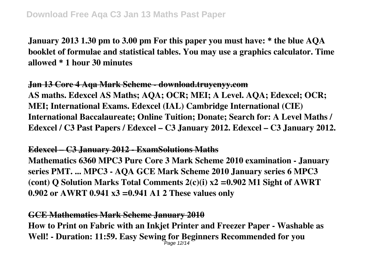**January 2013 1.30 pm to 3.00 pm For this paper you must have: \* the blue AQA booklet of formulae and statistical tables. You may use a graphics calculator. Time allowed \* 1 hour 30 minutes**

**Jan 13 Core 4 Aqa Mark Scheme - download.truyenyy.com AS maths. Edexcel AS Maths; AQA; OCR; MEI; A Level. AQA; Edexcel; OCR; MEI; International Exams. Edexcel (IAL) Cambridge International (CIE) International Baccalaureate; Online Tuition; Donate; Search for: A Level Maths / Edexcel / C3 Past Papers / Edexcel – C3 January 2012. Edexcel – C3 January 2012.**

### **Edexcel – C3 January 2012 - ExamSolutions Maths**

**Mathematics 6360 MPC3 Pure Core 3 Mark Scheme 2010 examination - January series PMT. ... MPC3 - AQA GCE Mark Scheme 2010 January series 6 MPC3 (cont) Q Solution Marks Total Comments 2(c)(i) x2 =0.902 M1 Sight of AWRT 0.902 or AWRT 0.941 x3 =0.941 A1 2 These values only**

## **GCE Mathematics Mark Scheme January 2010**

**How to Print on Fabric with an Inkjet Printer and Freezer Paper - Washable as Well! - Duration: 11:59. Easy Sewing for Beginners Recommended for you** Page 12/14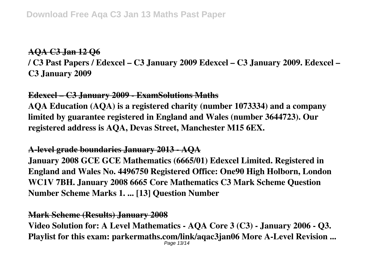## **AQA C3 Jan 12 Q6**

**/ C3 Past Papers / Edexcel – C3 January 2009 Edexcel – C3 January 2009. Edexcel – C3 January 2009**

## **Edexcel – C3 January 2009 - ExamSolutions Maths**

**AQA Education (AQA) is a registered charity (number 1073334) and a company limited by guarantee registered in England and Wales (number 3644723). Our registered address is AQA, Devas Street, Manchester M15 6EX.**

## **A-level grade boundaries January 2013 - AQA**

**January 2008 GCE GCE Mathematics (6665/01) Edexcel Limited. Registered in England and Wales No. 4496750 Registered Office: One90 High Holborn, London WC1V 7BH. January 2008 6665 Core Mathematics C3 Mark Scheme Question Number Scheme Marks 1. ... [13] Question Number**

### **Mark Scheme (Results) January 2008**

**Video Solution for: A Level Mathematics - AQA Core 3 (C3) - January 2006 - Q3. Playlist for this exam: parkermaths.com/link/aqac3jan06 More A-Level Revision ...** Page 13/14